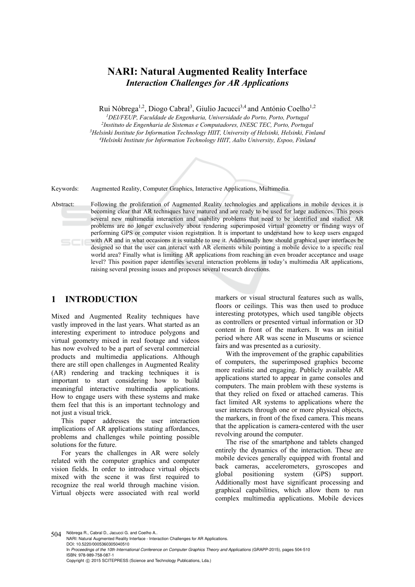# **NARI: Natural Augmented Reality Interface**  *Interaction Challenges for AR Applications*

Rui Nóbrega<sup>1,2</sup>, Diogo Cabral<sup>3</sup>, Giulio Jacucci<sup>3,4</sup> and António Coelho<sup>1,2</sup>

<sup>1</sup>DEI/FEUP, Faculdade de Engenharia, Universidade do Porto, Porto, Portugal<br><sup>2</sup>Instituto de Engenharia de Sistemas e Computadores, INESC TEC, Porto, Portugal<br><sup>3</sup>Helsinki Institute for Information Technology HIIT, Univers

Keywords: Augmented Reality, Computer Graphics, Interactive Applications, Multimedia.

Abstract: Following the proliferation of Augmented Reality technologies and applications in mobile devices it is becoming clear that AR techniques have matured and are ready to be used for large audiences. This poses several new multimedia interaction and usability problems that need to be identified and studied. AR problems are no longer exclusively about rendering superimposed virtual geometry or finding ways of performing GPS or computer vision registration. It is important to understand how to keep users engaged with AR and in what occasions it is suitable to use it. Additionally how should graphical user interfaces be designed so that the user can interact with AR elements while pointing a mobile device to a specific real world area? Finally what is limiting AR applications from reaching an even broader acceptance and usage level? This position paper identifies several interaction problems in today's multimedia AR applications, raising several pressing issues and proposes several research directions.

### **1 INTRODUCTION**

Mixed and Augmented Reality techniques have vastly improved in the last years. What started as an interesting experiment to introduce polygons and virtual geometry mixed in real footage and videos has now evolved to be a part of several commercial products and multimedia applications. Although there are still open challenges in Augmented Reality (AR) rendering and tracking techniques it is important to start considering how to build meaningful interactive multimedia applications. How to engage users with these systems and make them feel that this is an important technology and not just a visual trick.

This paper addresses the user interaction implications of AR applications stating affordances, problems and challenges while pointing possible solutions for the future.

For years the challenges in AR were solely related with the computer graphics and computer vision fields. In order to introduce virtual objects mixed with the scene it was first required to recognize the real world through machine vision. Virtual objects were associated with real world markers or visual structural features such as walls, floors or ceilings. This was then used to produce interesting prototypes, which used tangible objects as controllers or presented virtual information or 3D content in front of the markers. It was an initial period where AR was scene in Museums or science fairs and was presented as a curiosity.

With the improvement of the graphic capabilities of computers, the superimposed graphics become more realistic and engaging. Publicly available AR applications started to appear in game consoles and computers. The main problem with these systems is that they relied on fixed or attached cameras. This fact limited AR systems to applications where the user interacts through one or more physical objects, the markers, in front of the fixed camera. This means that the application is camera-centered with the user revolving around the computer.

The rise of the smartphone and tablets changed entirely the dynamics of the interaction. These are mobile devices generally equipped with frontal and back cameras, accelerometers, gyroscopes and global positioning system (GPS) support. Additionally most have significant processing and graphical capabilities, which allow them to run complex multimedia applications. Mobile devices

504 Nóbrega R., Cabral D., Jacucci G. and Coelho A..

NARI: Natural Augmented Reality Interface - Interaction Challenges for AR Applications. DOI: 10.5220/0005360305040510

In *Proceedings of the 10th International Conference on Computer Graphics Theory and Applications* (GRAPP-2015), pages 504-510 ISBN: 978-989-758-087-1

Copyright © 2015 SCITEPRESS (Science and Technology Publications, Lda.)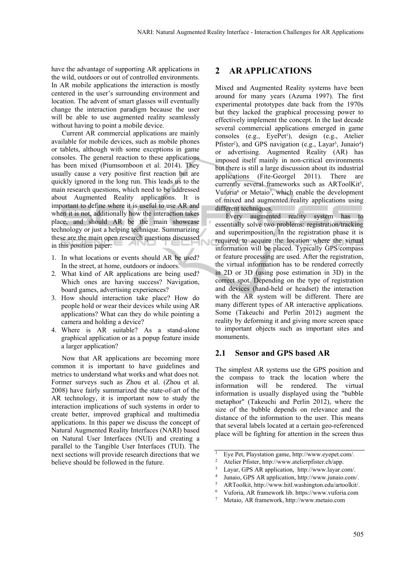have the advantage of supporting AR applications in the wild, outdoors or out of controlled environments. In AR mobile applications the interaction is mostly centered in the user's surrounding environment and location. The advent of smart glasses will eventually change the interaction paradigm because the user will be able to use augmented reality seamlessly without having to point a mobile device.

Current AR commercial applications are mainly available for mobile devices, such as mobile phones or tablets, although with some exceptions in game consoles. The general reaction to these applications has been mixed (Piumsomboon et al. 2014). They usually cause a very positive first reaction but are quickly ignored in the long run. This leads us to the main research questions, which need to be addressed about Augmented Reality applications. It is important to define where it is useful to use AR and when it is not, additionally how the interaction takes place, and should AR be the main showcase technology or just a helping technique. Summarizing these are the main open research questions discussed in this position paper:

- 1. In what locations or events should AR be used? In the street, at home, outdoors or indoors.
- 2. What kind of AR applications are being used? Which ones are having success? Navigation, board games, advertising experiences?
- 3. How should interaction take place? How do people hold or wear their devices while using AR applications? What can they do while pointing a camera and holding a device?
- 4. Where is AR suitable? As a stand-alone graphical application or as a popup feature inside a larger application?

Now that AR applications are becoming more common it is important to have guidelines and metrics to understand what works and what does not. Former surveys such as Zhou et al. (Zhou et al. 2008) have fairly summarized the state-of-art of the AR technology, it is important now to study the interaction implications of such systems in order to create better, improved graphical and multimedia applications. In this paper we discuss the concept of Natural Augmented Reality Interfaces (NARI) based on Natural User Interfaces (NUI) and creating a parallel to the Tangible User Interfaces (TUI). The next sections will provide research directions that we believe should be followed in the future.

#### **2 AR APPLICATIONS**

Mixed and Augmented Reality systems have been around for many years (Azuma 1997). The first experimental prototypes date back from the 1970s but they lacked the graphical processing power to effectively implement the concept. In the last decade several commercial applications emerged in game consoles (e.g., EyePet<sup>1</sup>), design (e.g., Atelier Pfister<sup>2</sup>), and GPS navigation (e.g., Layar<sup>3</sup>, Junaio<sup>4</sup>) or advertising. Augmented Reality (AR) has imposed itself mainly in non-critical environments but there is still a large discussion about its industrial applications (Fite-Georgel 2011). There are currently several frameworks such as ARToolKit<sup>5</sup>, Vuforia<sup>6</sup> or Metaio<sup>7</sup>, which enable the development of mixed and augmented reality applications using different techniques.

Every augmented reality system has to essentially solve two problems: registration/tracking and superimposition. In the registration phase it is required to acquire the location where the virtual information will be placed. Typically GPS/compass or feature processing are used. After the registration, the virtual information has to be rendered correctly in 2D or 3D (using pose estimation in 3D) in the correct spot. Depending on the type of registration and devices (hand-held or headset) the interaction with the AR system will be different. There are many different types of AR interactive applications. Some (Takeuchi and Perlin 2012) augment the reality by deforming it and giving more screen space to important objects such as important sites and monuments.

#### **2.1 Sensor and GPS based AR**

The simplest AR systems use the GPS position and the compass to track the location where the information will be rendered. The virtual information is usually displayed using the "bubble metaphor" (Takeuchi and Perlin 2012), where the size of the bubble depends on relevance and the distance of the information to the user. This means that several labels located at a certain geo-referenced place will be fighting for attention in the screen thus

<sup>&</sup>lt;sup>1</sup> Eye Pet, Playstation game, http://www.eyepet.com/.<br>
<sup>2</sup> Atelier Pfister, http://www.atelierpfister.ch/app.<br>
<sup>3</sup> Layar, GPS AR application, http://www.layar.com/.<br>
<sup>4</sup> Junaio, GPS AR application, http://www.junaio.com/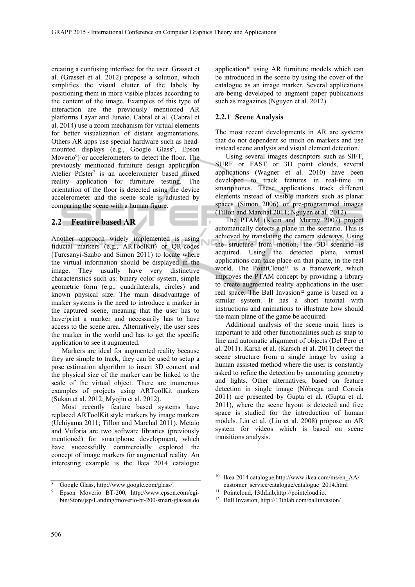creating a confusing interface for the user. Grasset et al. (Grasset et al. 2012) propose a solution, which simplifies the visual clutter of the labels by positioning them in more visible places according to the content of the image. Examples of this type of interaction are the previously mentioned AR platforms Layar and Junaio. Cabral et al. (Cabral et al. 2014) use a zoom mechanism for virtual elements for better visualization of distant augmentations. Others AR apps use special hardware such as headmounted displays (e.g., Google Glass<sup>8</sup>, Epson Moverio9) or accelerometers to detect the floor. The previously mentioned furniture design application Atelier Pfister<sup>2</sup> is an accelerometer based mixed reality application for furniture testing. The orientation of the floor is detected using the device accelerometer and the scene scale is adjusted by comparing the scene with a human figure.

### **2.2 Feature based AR**

Another approach widely implemented is using fiducial markers (e.g., ARToolKit) or QR-codes (Turcsanyi-Szabo and Simon 2011) to locate where the virtual information should be displayed in the image. They usually have very distinctive characteristics such as: binary color system, simple geometric form (e.g., quadrilaterals, circles) and known physical size. The main disadvantage of marker systems is the need to introduce a marker in the captured scene, meaning that the user has to have/print a marker and necessarily has to have access to the scene area. Alternatively, the user sees the marker in the world and has to get the specific application to see it augmented.

Markers are ideal for augmented reality because they are simple to track, they can be used to setup a pose estimation algorithm to insert 3D content and the physical size of the marker can be linked to the scale of the virtual object. There are inumerous examples of projects using ARToolKit markers (Sukan et al. 2012; Myojin et al. 2012).

Most recently feature based systems have replaced ARToolKit style markers by image markers (Uchiyama 2011; Tillon and Marchal 2011). Metaio and Vuforia are two software libraries (previously mentioned) for smartphone development, which have successfully commercially explored the concept of image markers for augmented reality. An interesting example is the Ikea 2014 catalogue

application<sup>10</sup> using AR furniture models which can be introduced in the scene by using the cover of the catalogue as an image marker. Several applications are being developed to augment paper publications such as magazines (Nguyen et al. 2012).

#### **2.2.1 Scene Analysis**

The most recent developments in AR are systems that do not dependent so much on markers and use instead scene analysis and visual element detection.

Using several images descriptors such as SIFT, SURF or FAST or 3D point clouds, several applications (Wagner et al. 2010) have been developed to track features in real-time in smartphones. These applications track different elements instead of visible markers such as planar spaces (Simon 2006) or pre-programmed images (Tillon and Marchal 2011; Nguyen et al. 2012).

The PTAM (Klein and Murray 2007) project automatically detects a plane in the scenario. This is achieved by translating the camera sideways. Using the structure from motion, the 3D scenario is acquired. Using the detected plane, virtual applications can take place on that plane, in the real world. The PointCloud<sup>11</sup> is a framework, which improves the PTAM concept by providing a library to create augmented reality applications in the user real space. The Ball Invasion<sup>12</sup> game is based on a similar system. It has a short tutorial with instructions and animations to illustrate how should the main plane of the game be acquired.

Additional analysis of the scene main lines is important to add other functionalities such as snap to line and automatic alignment of objects (Del Pero et al. 2011). Karsh et al. (Karsch et al. 2011) detect the scene structure from a single image by using a human assisted method where the user is constantly asked to refine the detection by annotating geometry and lights. Other alternatives, based on feature detection in single image (Nóbrega and Correia 2011) are presented by Gupta et al. (Gupta et al. 2011), where the scene layout is detected and free space is studied for the introduction of human models. Liu et al. (Liu et al. 2008) propose an AR system for videos which is based on scene transitions analysis.

<sup>8</sup> Google Glass, http://www.google.com/glass/. 9 Epson Moverio BT-200, http://www.epson.com/cgibin/Store/jsp/Landing/moverio-bt-200-smart-glasses.do

<sup>10</sup> Ikea 2014 catalogue,http://www.ikea.com/ms/en\_AA/ customer\_service/catalogue/catalogue\_2014.html 11 Pointcloud, 13thLab,http://pointcloud.io.

<sup>12</sup> Ball Invasion, http://13thlab.com/ballinvasion/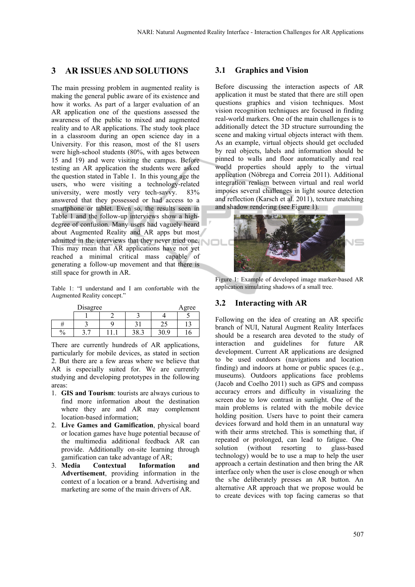## **3 AR ISSUES AND SOLUTIONS**

The main pressing problem in augmented reality is making the general public aware of its existence and how it works. As part of a larger evaluation of an AR application one of the questions assessed the awareness of the public to mixed and augmented reality and to AR applications. The study took place in a classroom during an open science day in a University. For this reason, most of the 81 users were high-school students (80%, with ages between 15 and 19) and were visiting the campus. Before testing an AR application the students were asked the question stated in Table 1. In this young age the users, who were visiting a technology-related university, were mostly very tech-savvy. 83% answered that they possessed or had access to a smartphone or tablet. Even so, the results seen in Table 1 and the follow-up interviews show a highdegree of confusion. Many users had vaguely heard about Augmented Reality and AR apps but most admitted in the interviews that they never tried one. This may mean that AR applications have not yet reached a minimal critical mass capable of generating a follow-up movement and that there is still space for growth in AR.

Table 1: "I understand and I am confortable with the Augmented Reality concept."

| Disagree      |  |  |                |                          | Agree |
|---------------|--|--|----------------|--------------------------|-------|
|               |  |  |                |                          |       |
|               |  |  |                | $\overline{\phantom{a}}$ |       |
| 0<br>$\sigma$ |  |  | າດ<br>$\cup$ . |                          |       |

There are currently hundreds of AR applications, particularly for mobile devices, as stated in section 2. But there are a few areas where we believe that AR is especially suited for. We are currently studying and developing prototypes in the following areas:

- 1. **GIS and Tourism**: tourists are always curious to find more information about the destination where they are and AR may complement location-based information;
- 2. **Live Games and Gamification**, physical board or location games have huge potential because of the multimedia additional feedback AR can provide. Additionally on-site learning through gamification can take advantage of AR;
- 3. **Media Contextual Information and Advertisement**, providing information in the context of a location or a brand. Advertising and marketing are some of the main drivers of AR.

#### **3.1 Graphics and Vision**

Before discussing the interaction aspects of AR application it must be stated that there are still open questions graphics and vision techniques. Most vision recognition techniques are focused in finding real-world markers. One of the main challenges is to additionally detect the 3D structure surrounding the scene and making virtual objects interact with them. As an example, virtual objects should get occluded by real objects, labels and information should be pinned to walls and floor automatically and real world properties should apply to the virtual application (Nóbrega and Correia 2011). Additional integration realism between virtual and real world imposes several challenges in light source detection and reflection (Karsch et al. 2011), texture matching and shadow rendering (see Figure 1).



Figure 1: Example of developed image marker-based AR application simulating shadows of a small tree.

#### **3.2 Interacting with AR**

Following on the idea of creating an AR specific branch of NUI, Natural Augment Reality Interfaces should be a research area devoted to the study of interaction and guidelines for future AR development. Current AR applications are designed to be used outdoors (navigations and location finding) and indoors at home or public spaces (e.g., museums). Outdoors applications face problems (Jacob and Coelho 2011) such as GPS and compass accuracy errors and difficulty in visualizing the screen due to low contrast in sunlight. One of the main problems is related with the mobile device holding position. Users have to point their camera devices forward and hold them in an unnatural way with their arms stretched. This is something that, if repeated or prolonged, can lead to fatigue. One solution (without resorting to glass-based technology) would be to use a map to help the user approach a certain destination and then bring the AR interface only when the user is close enough or when the s/he deliberately presses an AR button. An alternative AR approach that we propose would be to create devices with top facing cameras so that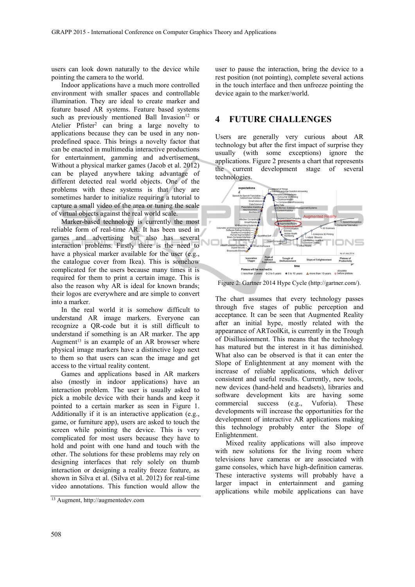users can look down naturally to the device while pointing the camera to the world.

Indoor applications have a much more controlled environment with smaller spaces and controllable illumination. They are ideal to create marker and feature based AR systems. Feature based systems such as previously mentioned Ball Invasion $12$  or Atelier Pfister<sup>2</sup> can bring a large novelty to applications because they can be used in any nonpredefined space. This brings a novelty factor that can be enacted in multimedia interactive productions for entertainment, gamming and advertisement. Without a physical marker games (Jacob et al. 2012) can be played anywhere taking advantage of different detected real world objects. One of the problems with these systems is that they are sometimes harder to initialize requiring a tutorial to capture a small video of the area or tuning the scale of virtual objects against the real world scale.

Marker-based technology is currently the most reliable form of real-time AR. It has been used in games and advertising but also has several interaction problems. Firstly there is the need to have a physical marker available for the user (e.g., the catalogue cover from Ikea). This is somehow complicated for the users because many times it is required for them to print a certain image. This is also the reason why AR is ideal for known brands; their logos are everywhere and are simple to convert into a marker.

In the real world it is somehow difficult to understand AR image markers. Everyone can recognize a QR-code but it is still difficult to understand if something is an AR marker. The app Augment $13$  is an example of an AR browser where physical image markers have a distinctive logo next to them so that users can scan the image and get access to the virtual reality content.

Games and applications based in AR markers also (mostly in indoor applications) have an interaction problem. The user is usually asked to pick a mobile device with their hands and keep it pointed to a certain marker as seen in Figure 1. Additionally if it is an interactive application (e.g., game, or furniture app), users are asked to touch the screen while pointing the device. This is very complicated for most users because they have to hold and point with one hand and touch with the other. The solutions for these problems may rely on designing interfaces that rely solely on thumb interaction or designing a reality freeze feature, as shown in Silva et al. (Silva et al. 2012) for real-time video annotations. This function would allow the

user to pause the interaction, bring the device to a rest position (not pointing), complete several actions in the touch interface and then unfreeze pointing the device again to the marker/world.

#### **4 FUTURE CHALLENGES**

Users are generally very curious about AR technology but after the first impact of surprise they usually (with some exceptions) ignore the applications. Figure 2 presents a chart that represents the current development stage of several technologies.



Figure 2: Gartner 2014 Hype Cycle (http://gartner.com/).

The chart assumes that every technology passes through five stages of public perception and acceptance. It can be seen that Augmented Reality after an initial hype, mostly related with the appearance of ARToolKit, is currently in the Trough of Disillusionment. This means that the technology has matured but the interest in it has diminished. What also can be observed is that it can enter the Slope of Enlightenment at any moment with the increase of reliable applications, which deliver consistent and useful results. Currently, new tools, new devices (hand-held and headsets), libraries and software development kits are having some commercial success (e.g., Vuforia). These developments will increase the opportunities for the development of interactive AR applications making this technology probably enter the Slope of Enlightenment.

Mixed reality applications will also improve with new solutions for the living room where televisions have cameras or are associated with game consoles, which have high-definition cameras. These interactive systems will probably have a larger impact in entertainment and gaming applications while mobile applications can have

<sup>13</sup> Augment, http://augmentedev.com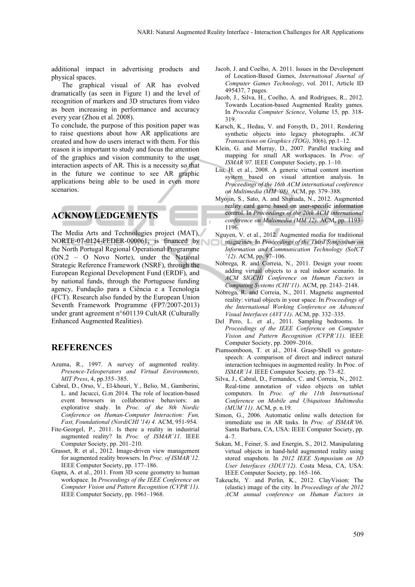additional impact in advertising products and physical spaces.

The graphical visual of AR has evolved dramatically (as seen in Figure 1) and the level of recognition of markers and 3D structures from video as been increasing in performance and accuracy every year (Zhou et al. 2008).

To conclude, the purpose of this position paper was to raise questions about how AR applications are created and how do users interact with them. For this reason it is important to study and focus the attention of the graphics and vision community to the user interaction aspects of AR. This is a necessity so that in the future we continue to see AR graphic applications being able to be used in even more scenarios.

# **ACKNOWLEDGEMENTS**

The Media Arts and Technologies project (MAT), NORTE-07-0124-FEDER-000061, is financed by the North Portugal Regional Operational Programme (ON.2 – O Novo Norte), under the National Strategic Reference Framework (NSRF), through the European Regional Development Fund (ERDF), and by national funds, through the Portuguese funding agency, Fundação para a Ciência e a Tecnologia (FCT). Research also funded by the European Union Seventh Framework Programme (FP7/2007-2013) under grant agreement n°601139 CultAR (Culturally Enhanced Augmented Realities).

### **REFERENCES**

- Azuma, R., 1997. A survey of augmented reality. *Presence-Teleoperators and Virtual Environments, MIT Press*, 4, pp.355–385.
- Cabral, D., Orso, V., El-khouri, Y., Belio, M., Gamberini, L. and Jacucci, G.m 2014. The role of location-based event browsers in collaborative behaviors: an explorative study. In *Proc. of the 8th Nordic Conference on Human-Computer Interaction: Fun, Fast, Foundational (NordiCHI '14) 4*. ACM, 951-954.
- Fite-Georgel, P., 2011. Is there a reality in industrial augmented reality? In *Proc. of ISMAR'11*. IEEE Computer Society, pp. 201–210.
- Grasset, R. et al., 2012. Image-driven view management for augmented reality browsers. In *Proc. of ISMAR'12*. IEEE Computer Society, pp. 177–186.
- Gupta, A. et al., 2011. From 3D scene geometry to human workspace. In *Proceedings of the IEEE Conference on Computer Vision and Pattern Recognition (CVPR'11)*. IEEE Computer Society, pp. 1961–1968.
- Jacob, J. and Coelho, A. 2011. Issues in the Development of Location-Based Games, *International Journal of Computer Games Technology*, vol. 2011, Article ID 495437, 7 pages.
- Jacob, J., Silva, H., Coelho, A. and Rodrigues, R., 2012. Towards Location-based Augmented Reality games. In *Procedia Computer Science*, Volume 15, pp. 318- 319.
- Karsch, K., Hedau, V. and Forsyth, D., 2011. Rendering synthetic objects into legacy photographs. *ACM Transactions on Graphics (TOG)*, 30(6), pp.1–12.
- Klein, G. and Murray, D., 2007. Parallel tracking and mapping for small AR workspaces. In *Proc. of ISMAR'07*. IEEE Computer Society, pp. 1–10.
- Liu, H. et al., 2008. A generic virtual content insertion system based on visual attention analysis. In *Proceedings of the 16th ACM international conference on Multimedia (MM '08)*. ACM, pp. 379–388.
- Myojin, S., Sato, A. and Shimada, N., 2012. Augmented reality card game based on user-specific information control. In *Proceedings of the 20th ACM international conference on Multimedia (MM'12)*. ACM, pp. 1193– 1196.
- Nguyen, V. et al., 2012. Augmented media for traditional
- magazines. In *Proceedings of the Third Symposium on Information and Communication Technology (SoICT '12)*. ACM, pp. 97–106.
- Nóbrega, R. and Correia, N., 2011. Design your room: adding virtual objects to a real indoor scenario. In *ACM SIGCHI Conference on Human Factors in Computing Systems (CHI'11)*. ACM, pp. 2143–2148.
- Nóbrega, R. and Correia, N., 2011. Magnetic augmented reality: virtual objects in your space. In *Proceedings of the International Working Conference on Advanced Visual Interfaces (AVI'11)*. ACM, pp. 332–335.
- Del Pero, L. et al., 2011. Sampling bedrooms. In *Proceedings of the IEEE Conference on Computer Vision and Pattern Recognition (CVPR'11)*. IEEE Computer Society, pp. 2009–2016.
- Piumsomboon, T. et al., 2014. Grasp-Shell vs gesturespeech: A comparison of direct and indirect natural interaction techniques in augmented reality. In Proc. of *ISMAR'14*. IEEE Computer Society, pp. 73–82.
- Silva, J., Cabral, D., Fernandes, C. and Correia, N., 2012. Real-time annotation of video objects on tablet computers. In *Proc. of the 11th International Conference on Mobile and Ubiquitous Multimedia (MUM'11)*. ACM, p. n.19.
- Simon, G., 2006. Automatic online walls detection for immediate use in AR tasks. In *Proc. of ISMAR'06*. Santa Barbara, CA, USA: IEEE Computer Society, pp.  $4 - 7$
- Sukan, M., Feiner, S. and Energin, S., 2012. Manipulating virtual objects in hand-held augmented reality using stored snapshots. In *2012 IEEE Symposium on 3D User Interfaces (3DUI'12)*. Costa Mesa, CA, USA: IEEE Computer Society, pp. 165–166.
- Takeuchi, Y. and Perlin, K., 2012. ClayVision: The (elastic) image of the city. In *Proceedings of the 2012 ACM annual conference on Human Factors in*